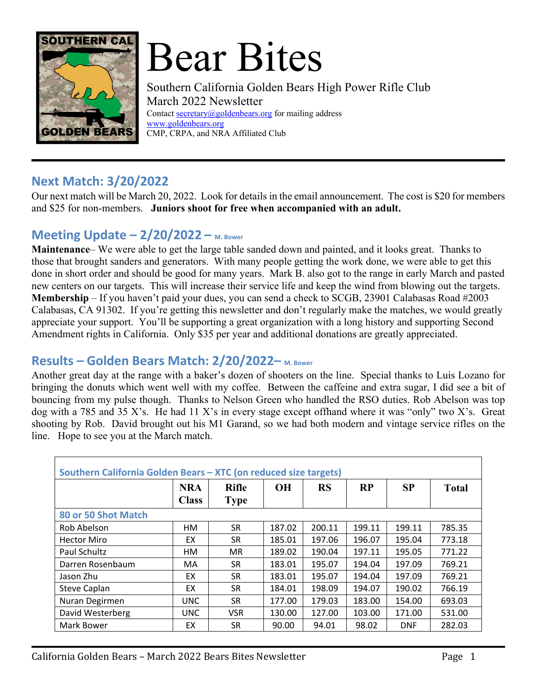

# Bear Bites

Southern California Golden Bears High Power Rifle Club March 2022 Newsletter Contact secretary@goldenbears.org for mailing address www.goldenbears.org CMP, CRPA, and NRA Affiliated Club

## **Next Match: 3/20/2022**

Our next match will be March 20, 2022. Look for details in the email announcement. The cost is \$20 for members and \$25 for non-members. **Juniors shoot for free when accompanied with an adult.**

# **Meeting Update – 2/20/2022 – M. Bower**

**Maintenance**– We were able to get the large table sanded down and painted, and it looks great. Thanks to those that brought sanders and generators. With many people getting the work done, we were able to get this done in short order and should be good for many years. Mark B. also got to the range in early March and pasted new centers on our targets. This will increase their service life and keep the wind from blowing out the targets. **Membership** – If you haven't paid your dues, you can send a check to SCGB, 23901 Calabasas Road #2003 Calabasas, CA 91302. If you're getting this newsletter and don't regularly make the matches, we would greatly appreciate your support. You'll be supporting a great organization with a long history and supporting Second Amendment rights in California. Only \$35 per year and additional donations are greatly appreciated.

#### **Results – Golden Bears Match: 2/20/2022– M. Bower**

Another great day at the range with a baker's dozen of shooters on the line. Special thanks to Luis Lozano for bringing the donuts which went well with my coffee. Between the caffeine and extra sugar, I did see a bit of bouncing from my pulse though. Thanks to Nelson Green who handled the RSO duties. Rob Abelson was top dog with a 785 and 35 X's. He had 11 X's in every stage except offhand where it was "only" two X's. Great shooting by Rob. David brought out his M1 Garand, so we had both modern and vintage service rifles on the line. Hope to see you at the March match.

| Southern California Golden Bears - XTC (on reduced size targets) |                            |                             |           |           |           |            |              |
|------------------------------------------------------------------|----------------------------|-----------------------------|-----------|-----------|-----------|------------|--------------|
|                                                                  | <b>NRA</b><br><b>Class</b> | <b>Rifle</b><br><b>Type</b> | <b>OH</b> | <b>RS</b> | <b>RP</b> | <b>SP</b>  | <b>Total</b> |
| 80 or 50 Shot Match                                              |                            |                             |           |           |           |            |              |
| Rob Abelson                                                      | HМ                         | <b>SR</b>                   | 187.02    | 200.11    | 199.11    | 199.11     | 785.35       |
| <b>Hector Miro</b>                                               | EX                         | <b>SR</b>                   | 185.01    | 197.06    | 196.07    | 195.04     | 773.18       |
| Paul Schultz                                                     | HМ                         | <b>MR</b>                   | 189.02    | 190.04    | 197.11    | 195.05     | 771.22       |
| Darren Rosenbaum                                                 | MA                         | SR.                         | 183.01    | 195.07    | 194.04    | 197.09     | 769.21       |
| Jason Zhu                                                        | EX                         | <b>SR</b>                   | 183.01    | 195.07    | 194.04    | 197.09     | 769.21       |
| <b>Steve Caplan</b>                                              | EX                         | <b>SR</b>                   | 184.01    | 198.09    | 194.07    | 190.02     | 766.19       |
| Nuran Degirmen                                                   | <b>UNC</b>                 | <b>SR</b>                   | 177.00    | 179.03    | 183.00    | 154.00     | 693.03       |
| David Westerberg                                                 | <b>UNC</b>                 | <b>VSR</b>                  | 130.00    | 127.00    | 103.00    | 171.00     | 531.00       |
| Mark Bower                                                       | EX                         | <b>SR</b>                   | 90.00     | 94.01     | 98.02     | <b>DNF</b> | 282.03       |